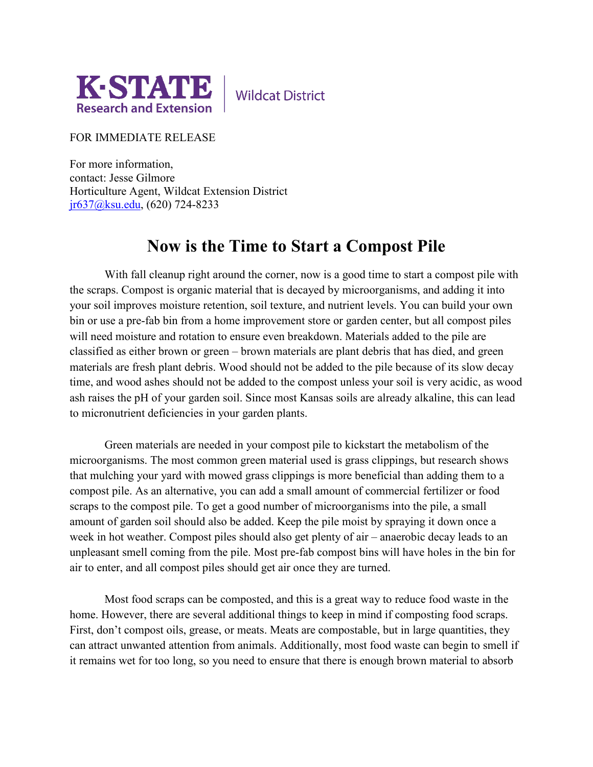

**Wildcat District** 

FOR IMMEDIATE RELEASE

For more information, contact: Jesse Gilmore Horticulture Agent, Wildcat Extension District [jr637@ksu.edu,](mailto:jr637@ksu.edu) (620) 724-8233

## **Now is the Time to Start a Compost Pile**

With fall cleanup right around the corner, now is a good time to start a compost pile with the scraps. Compost is organic material that is decayed by microorganisms, and adding it into your soil improves moisture retention, soil texture, and nutrient levels. You can build your own bin or use a pre-fab bin from a home improvement store or garden center, but all compost piles will need moisture and rotation to ensure even breakdown. Materials added to the pile are classified as either brown or green – brown materials are plant debris that has died, and green materials are fresh plant debris. Wood should not be added to the pile because of its slow decay time, and wood ashes should not be added to the compost unless your soil is very acidic, as wood ash raises the pH of your garden soil. Since most Kansas soils are already alkaline, this can lead to micronutrient deficiencies in your garden plants.

Green materials are needed in your compost pile to kickstart the metabolism of the microorganisms. The most common green material used is grass clippings, but research shows that mulching your yard with mowed grass clippings is more beneficial than adding them to a compost pile. As an alternative, you can add a small amount of commercial fertilizer or food scraps to the compost pile. To get a good number of microorganisms into the pile, a small amount of garden soil should also be added. Keep the pile moist by spraying it down once a week in hot weather. Compost piles should also get plenty of air – anaerobic decay leads to an unpleasant smell coming from the pile. Most pre-fab compost bins will have holes in the bin for air to enter, and all compost piles should get air once they are turned.

Most food scraps can be composted, and this is a great way to reduce food waste in the home. However, there are several additional things to keep in mind if composting food scraps. First, don't compost oils, grease, or meats. Meats are compostable, but in large quantities, they can attract unwanted attention from animals. Additionally, most food waste can begin to smell if it remains wet for too long, so you need to ensure that there is enough brown material to absorb